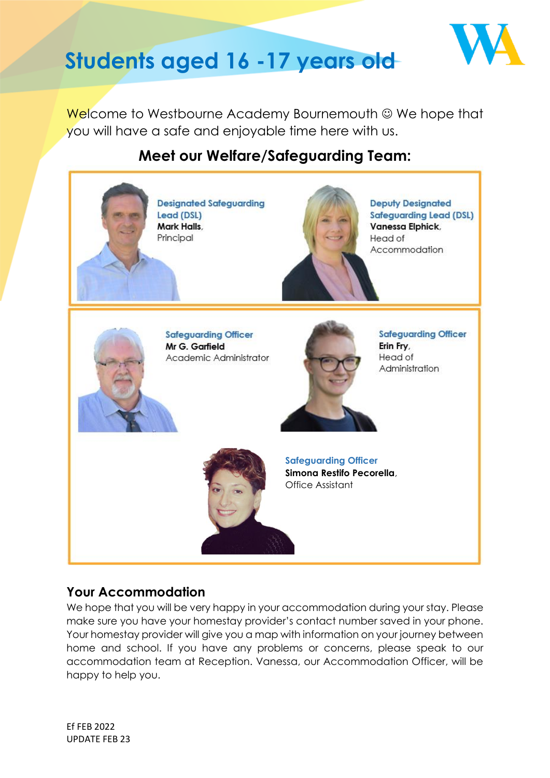

# **Students aged 16 -17 years old**

Welcome to Westbourne Academy Bournemouth © We hope that you will have a safe and enjoyable time here with us.

## **Meet our Welfare/Safeguarding Team:**



## **Your Accommodation**

We hope that you will be very happy in your accommodation during your stay. Please make sure you have your homestay provider's contact number saved in your phone. Your homestay provider will give you a map with information on your journey between home and school. If you have any problems or concerns, please speak to our accommodation team at Reception. Vanessa, our Accommodation Officer, will be happy to help you.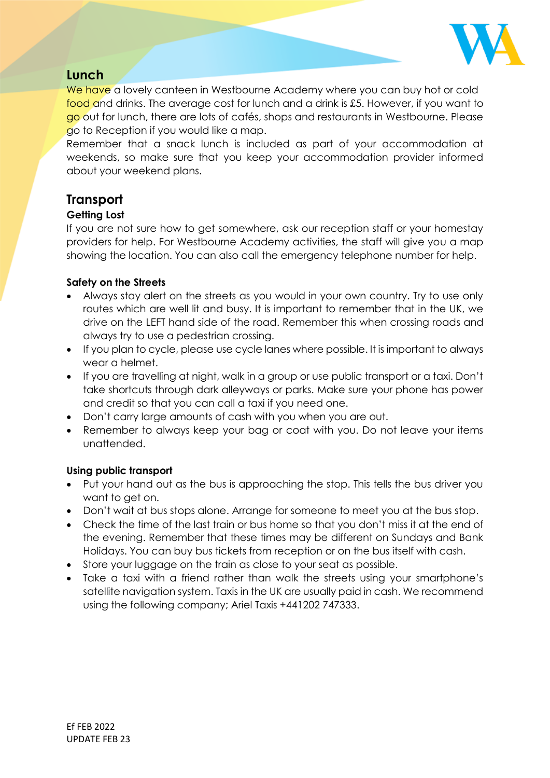

### **Lunch**

We have a lovely canteen in Westbourne Academy where you can buy hot or cold food and drinks. The average cost for lunch and a drink is £5. However, if you want to go out for lunch, there are lots of cafés, shops and restaurants in Westbourne. Please go to Reception if you would like a map.

Remember that a snack lunch is included as part of your accommodation at weekends, so make sure that you keep your accommodation provider informed about your weekend plans.

## **Transport**

#### **Getting Lost**

If you are not sure how to get somewhere, ask our reception staff or your homestay providers for help. For Westbourne Academy activities, the staff will give you a map showing the location. You can also call the emergency telephone number for help.

#### **Safety on the Streets**

- Always stay alert on the streets as you would in your own country. Try to use only routes which are well lit and busy. It is important to remember that in the UK, we drive on the LEFT hand side of the road. Remember this when crossing roads and always try to use a pedestrian crossing.
- If you plan to cycle, please use cycle lanes where possible. It is important to always wear a helmet.
- If you are travelling at night, walk in a group or use public transport or a taxi. Don't take shortcuts through dark alleyways or parks. Make sure your phone has power and credit so that you can call a taxi if you need one.
- Don't carry large amounts of cash with you when you are out.
- Remember to always keep your bag or coat with you. Do not leave your items unattended.

#### **Using public transport**

- Put your hand out as the bus is approaching the stop. This tells the bus driver you want to get on.
- Don't wait at bus stops alone. Arrange for someone to meet you at the bus stop.
- Check the time of the last train or bus home so that you don't miss it at the end of the evening. Remember that these times may be different on Sundays and Bank Holidays. You can buy bus tickets from reception or on the bus itself with cash.
- Store your luggage on the train as close to your seat as possible.
- Take a taxi with a friend rather than walk the streets using your smartphone's satellite navigation system. Taxis in the UK are usually paid in cash. We recommend using the following company; Ariel Taxis +441202 747333.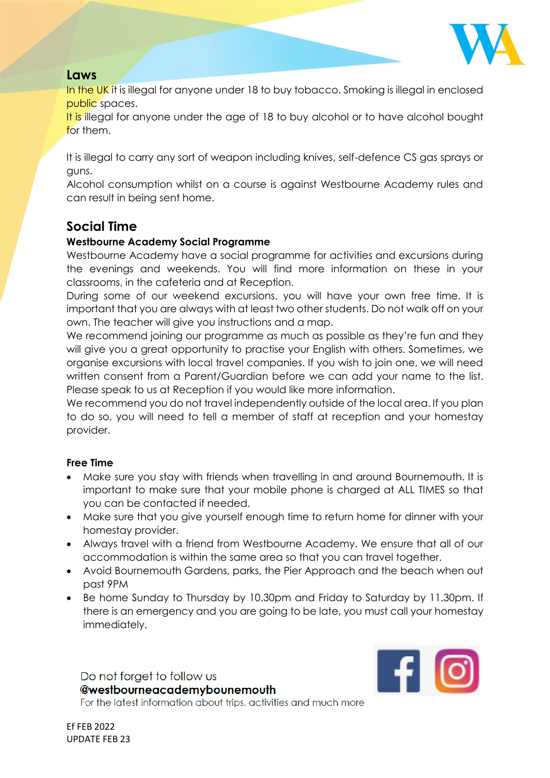

## **Laws**

In the UK it is illegal for anyone under 18 to buy tobacco. Smoking is illegal in enclosed public spaces.

It is illegal for anyone under the age of 18 to buy alcohol or to have alcohol bought for them.

It is illegal to carry any sort of weapon including knives, self-defence CS gas sprays or guns.

Alcohol consumption whilst on a course is against Westbourne Academy rules and can result in being sent home.

## **Social Time**

#### **Westbourne Academy Social Programme**

Westbourne Academy have a social programme for activities and excursions during the evenings and weekends. You will find more information on these in your classrooms, in the cafeteria and at Reception.

During some of our weekend excursions, you will have your own free time. It is important that you are always with at least two other students. Do not walk off on your own. The teacher will give you instructions and a map.

We recommend joining our programme as much as possible as they're fun and they will give you a great opportunity to practise your English with others. Sometimes, we organise excursions with local travel companies. If you wish to join one, we will need written consent from a Parent/Guardian before we can add your name to the list. Please speak to us at Reception if you would like more information.

We recommend you do not travel independently outside of the local area. If you plan to do so, you will need to tell a member of staff at reception and your homestay provider.

#### **Free Time**

- Make sure you stay with friends when travelling in and around Bournemouth. It is important to make sure that your mobile phone is charged at ALL TIMES so that you can be contacted if needed.
- Make sure that you give yourself enough time to return home for dinner with your homestay provider.
- Always travel with a friend from Westbourne Academy. We ensure that all of our accommodation is within the same area so that you can travel together.
- Avoid Bournemouth Gardens, parks, the Pier Approach and the beach when out past 9PM
- Be home Sunday to Thursday by 10.30pm and Friday to Saturday by 11.30pm. If there is an emergency and you are going to be late, you must call your homestay immediately.

Do not forget to follow us @westbourneacademybounemouth For the latest information about trips, activities and much more

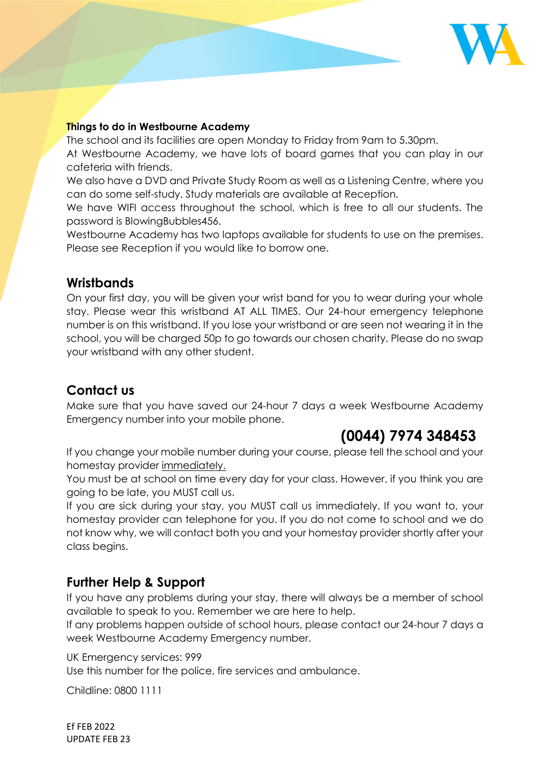

#### **Things to do in Westbourne Academy**

The school and its facilities are open Monday to Friday from 9am to 5.30pm.

At Westbourne Academy, we have lots of board games that you can play in our cafeteria with friends.

We also have a DVD and Private Study Room as well as a Listening Centre, where you can do some self-study. Study materials are available at Reception.

We have WIFI access throughout the school, which is free to all our students. The password is BlowingBubbles456.

Westbourne Academy has two laptops available for students to use on the premises. Please see Reception if you would like to borrow one.

## **Wristbands**

On your first day, you will be given your wrist band for you to wear during your whole stay. Please wear this wristband AT ALL TIMES. Our 24-hour emergency telephone number is on this wristband. If you lose your wristband or are seen not wearing it in the school, you will be charged 50p to go towards our chosen charity. Please do no swap your wristband with any other student.

## **Contact us**

Make sure that you have saved our 24-hour 7 days a week Westbourne Academy Emergency number into your mobile phone.

## **(0044) 7974 348453**

If you change your mobile number during your course, please tell the school and your homestay provider immediately.

You must be at school on time every day for your class. However, if you think you are going to be late, you MUST call us.

If you are sick during your stay, you MUST call us immediately. If you want to, your homestay provider can telephone for you. If you do not come to school and we do not know why, we will contact both you and your homestay provider shortly after your class begins.

## **Further Help & Support**

If you have any problems during your stay, there will always be a member of school available to speak to you. Remember we are here to help.

If any problems happen outside of school hours, please contact our 24-hour 7 days a week Westbourne Academy Emergency number.

UK Emergency services: 999

Use this number for the police, fire services and ambulance.

Childline: 0800 1111

Ef FEB 2022 UPDATE FEB 23